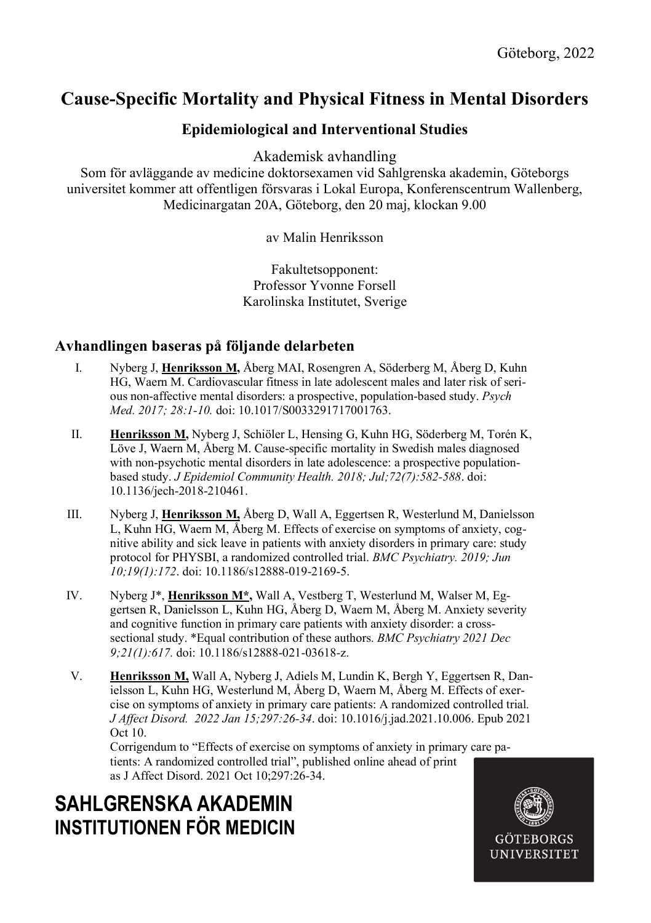## Cause-Specific Mortality and Physical Fitness in Mental Disorders

### Epidemiological and Interventional Studies

Akademisk avhandling

Som för avläggande av medicine doktorsexamen vid Sahlgrenska akademin, Göteborgs universitet kommer att offentligen försvaras i Lokal Europa, Konferenscentrum Wallenberg, Medicinargatan 20A, Göteborg, den 20 maj, klockan 9.00

av Malin Henriksson

Fakultetsopponent: Professor Yvonne Forsell Karolinska Institutet, Sverige

### Avhandlingen baseras på följande delarbeten

- I. Nyberg J, Henriksson M, Åberg MAI, Rosengren A, Söderberg M, Åberg D, Kuhn HG, Waern M. Cardiovascular fitness in late adolescent males and later risk of serious non-affective mental disorders: a prospective, population-based study. Psych Med. 2017; 28:1-10. doi: 10.1017/S0033291717001763.
- II. Henriksson M, Nyberg J, Schiöler L, Hensing G, Kuhn HG, Söderberg M, Torén K, Löve J, Waern M, Åberg M. Cause-specific mortality in Swedish males diagnosed with non-psychotic mental disorders in late adolescence: a prospective populationbased study. J Epidemiol Community Health. 2018; Jul;72(7):582-588. doi: 10.1136/jech-2018-210461.
- III. Nyberg J, Henriksson M, Åberg D, Wall A, Eggertsen R, Westerlund M, Danielsson L, Kuhn HG, Waern M, Åberg M. Effects of exercise on symptoms of anxiety, cognitive ability and sick leave in patients with anxiety disorders in primary care: study protocol for PHYSBI, a randomized controlled trial. BMC Psychiatry. 2019; Jun 10;19(1):172. doi: 10.1186/s12888-019-2169-5.
- IV. Nyberg J\*, Henriksson M\*, Wall A, Vestberg T, Westerlund M, Walser M, Eggertsen R, Danielsson L, Kuhn HG, Åberg D, Waern M, Åberg M. Anxiety severity and cognitive function in primary care patients with anxiety disorder: a crosssectional study. \*Equal contribution of these authors. BMC Psychiatry 2021 Dec 9;21(1):617. doi: 10.1186/s12888-021-03618-z.
- V. Henriksson M, Wall A, Nyberg J, Adiels M, Lundin K, Bergh Y, Eggertsen R, Danielsson L, Kuhn HG, Westerlund M, Åberg D, Waern M, Åberg M. Effects of exercise on symptoms of anxiety in primary care patients: A randomized controlled trial. J Affect Disord. 2022 Jan 15;297:26-34. doi: 10.1016/j.jad.2021.10.006. Epub 2021 Oct 10.

Corrigendum to "Effects of exercise on symptoms of anxiety in primary care patients: A randomized controlled trial", published online ahead of print as J Affect Disord. 2021 Oct 10;297:26-34.

# SAHLGRENSKA AKADEMIN INSTITUTIONEN FÖR MEDICIN